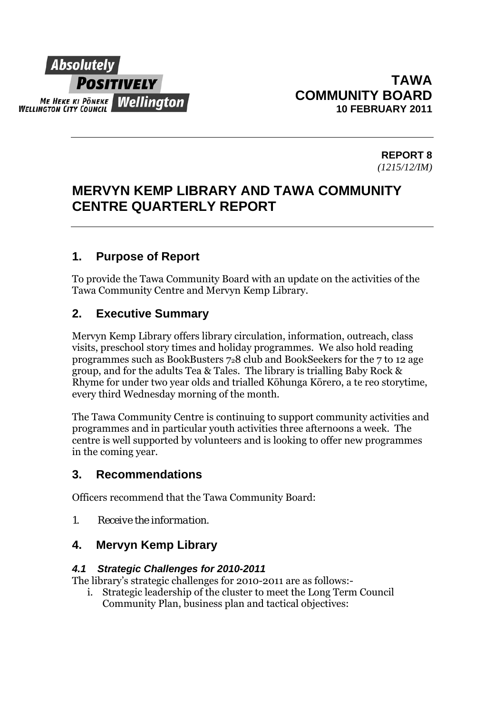

**REPORT 8**  *(1215/12/IM)* 

# **MERVYN KEMP LIBRARY AND TAWA COMMUNITY CENTRE QUARTERLY REPORT**

# **1. Purpose of Report**

To provide the Tawa Community Board with an update on the activities of the Tawa Community Centre and Mervyn Kemp Library.

# **2. Executive Summary**

Mervyn Kemp Library offers library circulation, information, outreach, class visits, preschool story times and holiday programmes. We also hold reading programmes such as BookBusters 728 club and BookSeekers for the 7 to 12 age group, and for the adults Tea & Tales. The library is trialling Baby Rock & Rhyme for under two year olds and trialled Kōhunga Kōrero, a te reo storytime, every third Wednesday morning of the month.

The Tawa Community Centre is continuing to support community activities and programmes and in particular youth activities three afternoons a week. The centre is well supported by volunteers and is looking to offer new programmes in the coming year.

## **3. Recommendations**

Officers recommend that the Tawa Community Board:

*1. Receive the information.* 

## **4. Mervyn Kemp Library**

#### *4.1 Strategic Challenges for 2010-2011*

The library's strategic challenges for 2010-2011 are as follows:-

i. Strategic leadership of the cluster to meet the Long Term Council Community Plan, business plan and tactical objectives: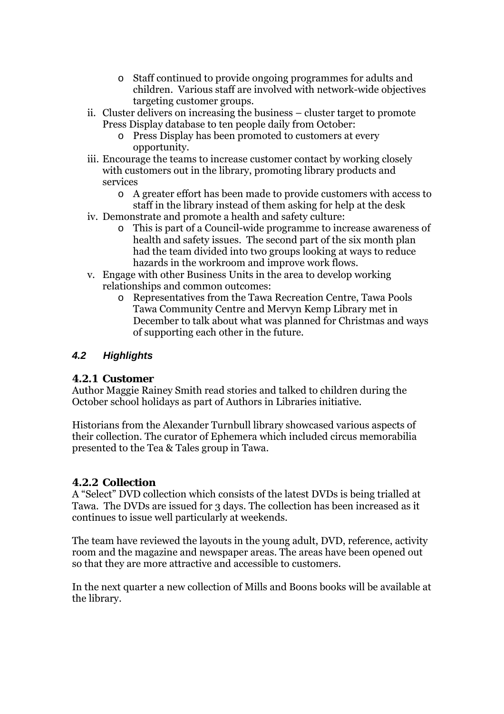- o Staff continued to provide ongoing programmes for adults and children. Various staff are involved with network-wide objectives targeting customer groups.
- ii. Cluster delivers on increasing the business cluster target to promote Press Display database to ten people daily from October:
	- o Press Display has been promoted to customers at every opportunity.
- iii. Encourage the teams to increase customer contact by working closely with customers out in the library, promoting library products and services
	- o A greater effort has been made to provide customers with access to staff in the library instead of them asking for help at the desk
- iv. Demonstrate and promote a health and safety culture:
	- o This is part of a Council-wide programme to increase awareness of health and safety issues. The second part of the six month plan had the team divided into two groups looking at ways to reduce hazards in the workroom and improve work flows.
- v. Engage with other Business Units in the area to develop working relationships and common outcomes:
	- o Representatives from the Tawa Recreation Centre, Tawa Pools Tawa Community Centre and Mervyn Kemp Library met in December to talk about what was planned for Christmas and ways of supporting each other in the future.

### *4.2 Highlights*

#### **4.2.1 Customer**

Author Maggie Rainey Smith read stories and talked to children during the October school holidays as part of Authors in Libraries initiative.

Historians from the Alexander Turnbull library showcased various aspects of their collection. The curator of Ephemera which included circus memorabilia presented to the Tea & Tales group in Tawa.

#### **4.2.2 Collection**

A "Select" DVD collection which consists of the latest DVDs is being trialled at Tawa. The DVDs are issued for 3 days. The collection has been increased as it continues to issue well particularly at weekends.

The team have reviewed the layouts in the young adult, DVD, reference, activity room and the magazine and newspaper areas. The areas have been opened out so that they are more attractive and accessible to customers.

In the next quarter a new collection of Mills and Boons books will be available at the library.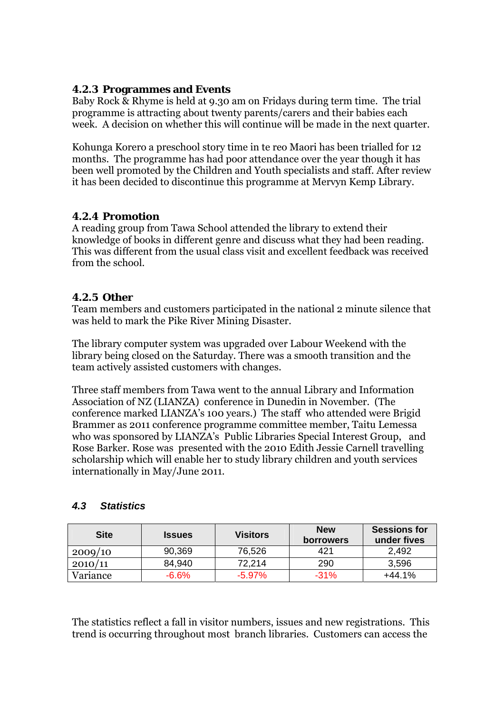#### **4.2.3 Programmes and Events**

Baby Rock & Rhyme is held at 9.30 am on Fridays during term time. The trial programme is attracting about twenty parents/carers and their babies each week. A decision on whether this will continue will be made in the next quarter.

Kohunga Korero a preschool story time in te reo Maori has been trialled for 12 months. The programme has had poor attendance over the year though it has been well promoted by the Children and Youth specialists and staff. After review it has been decided to discontinue this programme at Mervyn Kemp Library.

#### **4.2.4 Promotion**

A reading group from Tawa School attended the library to extend their knowledge of books in different genre and discuss what they had been reading. This was different from the usual class visit and excellent feedback was received from the school.

#### **4.2.5 Other**

Team members and customers participated in the national 2 minute silence that was held to mark the Pike River Mining Disaster.

The library computer system was upgraded over Labour Weekend with the library being closed on the Saturday. There was a smooth transition and the team actively assisted customers with changes.

Three staff members from Tawa went to the annual Library and Information Association of NZ (LIANZA) conference in Dunedin in November. (The conference marked LIANZA's 100 years.) The staff who attended were Brigid Brammer as 2011 conference programme committee member, Taitu Lemessa who was sponsored by LIANZA's Public Libraries Special Interest Group, and Rose Barker. Rose was presented with the 2010 Edith Jessie Carnell travelling scholarship which will enable her to study library children and youth services internationally in May/June 2011.

| <b>Site</b> | <b>Issues</b> | <b>Visitors</b> | <b>New</b><br><b>borrowers</b> | <b>Sessions for</b><br>under fives |
|-------------|---------------|-----------------|--------------------------------|------------------------------------|
| 2009/10     | 90,369        | 76,526          | 421                            | 2,492                              |
| 2010/11     | 84,940        | 72.214          | 290                            | 3,596                              |
| Variance    | $-6.6%$       | $-5.97\%$       | $-31\%$                        | $+44.1%$                           |

### *4.3 Statistics*

The statistics reflect a fall in visitor numbers, issues and new registrations. This trend is occurring throughout most branch libraries. Customers can access the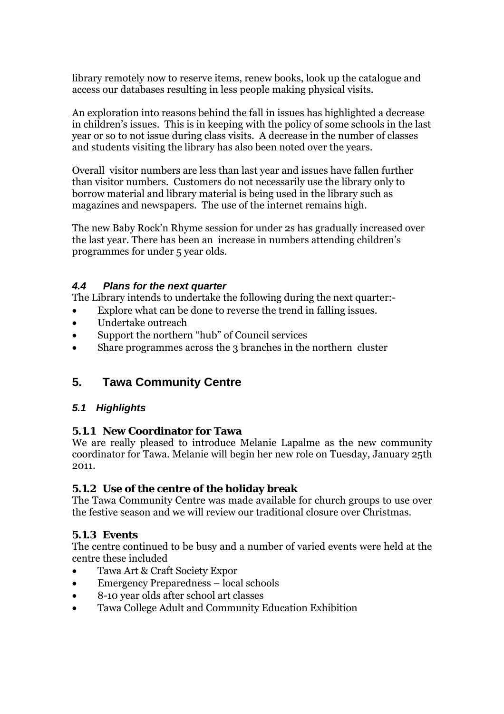library remotely now to reserve items, renew books, look up the catalogue and access our databases resulting in less people making physical visits.

An exploration into reasons behind the fall in issues has highlighted a decrease in children's issues. This is in keeping with the policy of some schools in the last year or so to not issue during class visits. A decrease in the number of classes and students visiting the library has also been noted over the years.

Overall visitor numbers are less than last year and issues have fallen further than visitor numbers. Customers do not necessarily use the library only to borrow material and library material is being used in the library such as magazines and newspapers. The use of the internet remains high.

The new Baby Rock'n Rhyme session for under 2s has gradually increased over the last year. There has been an increase in numbers attending children's programmes for under 5 year olds.

#### *4.4 Plans for the next quarter*

The Library intends to undertake the following during the next quarter:-

- Explore what can be done to reverse the trend in falling issues.
- Undertake outreach
- Support the northern "hub" of Council services
- Share programmes across the 3 branches in the northern cluster

# **5. Tawa Community Centre**

### *5.1 Highlights*

#### **5.1.1 New Coordinator for Tawa**

We are really pleased to introduce Melanie Lapalme as the new community coordinator for Tawa. Melanie will begin her new role on Tuesday, January 25th 2011.

#### **5.1.2 Use of the centre of the holiday break**

The Tawa Community Centre was made available for church groups to use over the festive season and we will review our traditional closure over Christmas.

#### **5.1.3 Events**

The centre continued to be busy and a number of varied events were held at the centre these included

- Tawa Art & Craft Society Expor
- Emergency Preparedness local schools
- 8-10 year olds after school art classes
- Tawa College Adult and Community Education Exhibition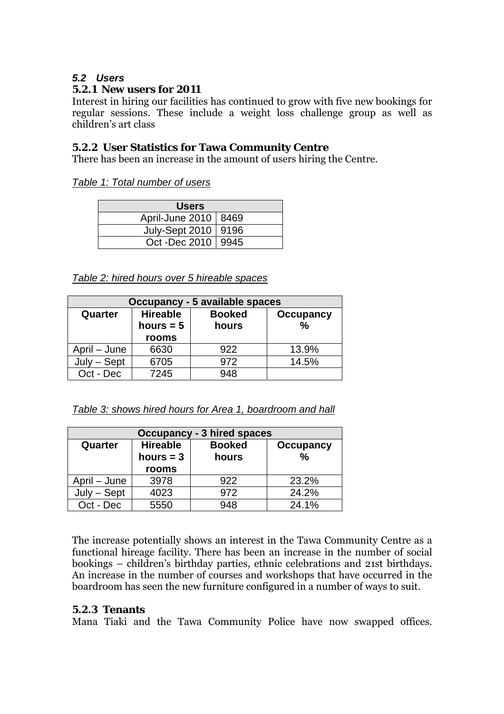#### *5.2 Users*

#### **5.2.1 New users for 2011**

Interest in hiring our facilities has continued to grow with five new bookings for regular sessions. These include a weight loss challenge group as well as children's art class

#### **5.2.2 User Statistics for Tawa Community Centre**

There has been an increase in the amount of users hiring the Centre.

*Table 1: Total number of users* 

| <b>Users</b>           |  |  |  |
|------------------------|--|--|--|
| April-June 2010   8469 |  |  |  |
| July-Sept 2010   9196  |  |  |  |
| Oct -Dec 2010   9945   |  |  |  |

*Table 2: hired hours over 5 hireable spaces*

| <b>Occupancy - 5 available spaces</b> |                 |               |                  |
|---------------------------------------|-----------------|---------------|------------------|
| Quarter                               | <b>Hireable</b> | <b>Booked</b> | <b>Occupancy</b> |
|                                       | hours $= 5$     | hours         | $\%$             |
|                                       | rooms           |               |                  |
| April – June                          | 6630            | 922           | 13.9%            |
| – Sept<br>July                        | 6705            | 972           | 14.5%            |
| Oct - Dec                             | 7245            | 948           |                  |

*Table 3: shows hired hours for Area 1, boardroom and hall*

| <b>Occupancy - 3 hired spaces</b> |                 |               |                  |
|-----------------------------------|-----------------|---------------|------------------|
| Quarter                           | <b>Hireable</b> | <b>Booked</b> | <b>Occupancy</b> |
|                                   | hours $=$ 3     | hours         | $\frac{0}{0}$    |
|                                   | rooms           |               |                  |
| April – June                      | 3978            | 922           | 23.2%            |
| $July - Sept$                     | 4023            | 972           | 24.2%            |
| Oct - Dec                         | 5550            | 948           | 24.1%            |

The increase potentially shows an interest in the Tawa Community Centre as a functional hireage facility. There has been an increase in the number of social bookings – children's birthday parties, ethnic celebrations and 21st birthdays. An increase in the number of courses and workshops that have occurred in the boardroom has seen the new furniture configured in a number of ways to suit.

#### **5.2.3 Tenants**

Mana Tiaki and the Tawa Community Police have now swapped offices.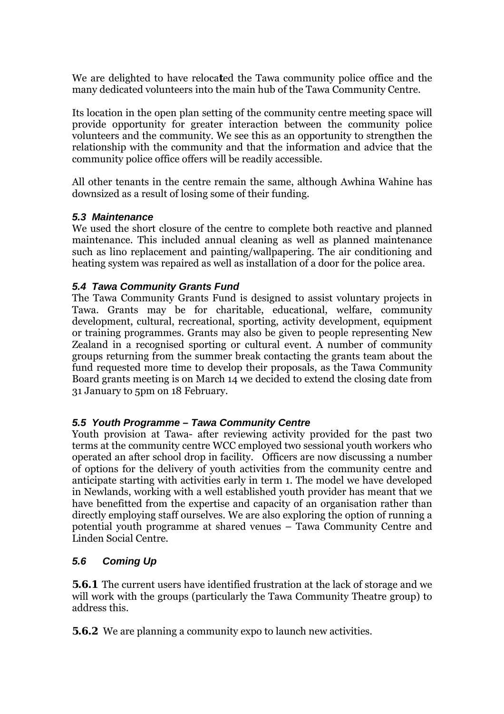We are delighted to have reloca**t**ed the Tawa community police office and the many dedicated volunteers into the main hub of the Tawa Community Centre.

Its location in the open plan setting of the community centre meeting space will provide opportunity for greater interaction between the community police volunteers and the community. We see this as an opportunity to strengthen the relationship with the community and that the information and advice that the community police office offers will be readily accessible.

All other tenants in the centre remain the same, although Awhina Wahine has downsized as a result of losing some of their funding.

#### *5.3 Maintenance*

We used the short closure of the centre to complete both reactive and planned maintenance. This included annual cleaning as well as planned maintenance such as lino replacement and painting/wallpapering. The air conditioning and heating system was repaired as well as installation of a door for the police area.

#### *5.4 Tawa Community Grants Fund*

The Tawa Community Grants Fund is designed to assist voluntary projects in Tawa. Grants may be for charitable, educational, welfare, community development, cultural, recreational, sporting, activity development, equipment or training programmes. Grants may also be given to people representing New Zealand in a recognised sporting or cultural event. A number of community groups returning from the summer break contacting the grants team about the fund requested more time to develop their proposals, as the Tawa Community Board grants meeting is on March 14 we decided to extend the closing date from 31 January to 5pm on 18 February.

#### *5.5 Youth Programme – Tawa Community Centre*

Youth provision at Tawa- after reviewing activity provided for the past two terms at the community centre WCC employed two sessional youth workers who operated an after school drop in facility. Officers are now discussing a number of options for the delivery of youth activities from the community centre and anticipate starting with activities early in term 1. The model we have developed in Newlands, working with a well established youth provider has meant that we have benefitted from the expertise and capacity of an organisation rather than directly employing staff ourselves. We are also exploring the option of running a potential youth programme at shared venues – Tawa Community Centre and Linden Social Centre.

#### *5.6 Coming Up*

**5.6.1** The current users have identified frustration at the lack of storage and we will work with the groups (particularly the Tawa Community Theatre group) to address this.

**5.6.2** We are planning a community expo to launch new activities.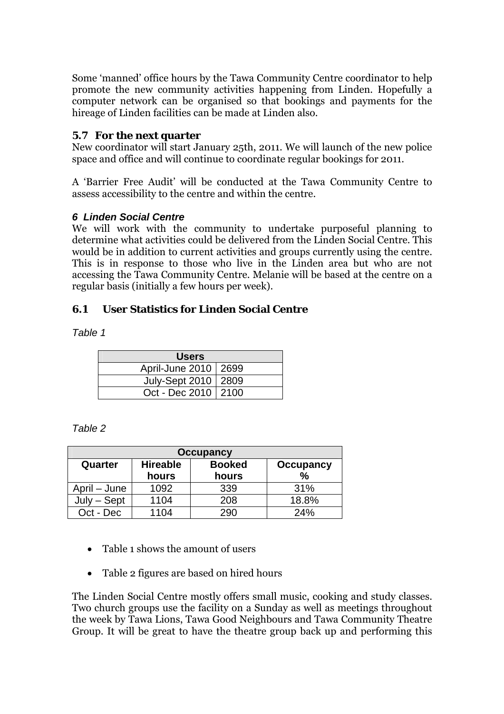Some 'manned' office hours by the Tawa Community Centre coordinator to help promote the new community activities happening from Linden. Hopefully a computer network can be organised so that bookings and payments for the hireage of Linden facilities can be made at Linden also.

#### **5.7 For the next quarter**

New coordinator will start January 25th, 2011. We will launch of the new police space and office and will continue to coordinate regular bookings for 2011.

A 'Barrier Free Audit' will be conducted at the Tawa Community Centre to assess accessibility to the centre and within the centre.

#### *6 Linden Social Centre*

We will work with the community to undertake purposeful planning to determine what activities could be delivered from the Linden Social Centre. This would be in addition to current activities and groups currently using the centre. This is in response to those who live in the Linden area but who are not accessing the Tawa Community Centre. Melanie will be based at the centre on a regular basis (initially a few hours per week).

### **6.1 User Statistics for Linden Social Centre**

*Table 1* 

| <b>Users</b>           |  |  |  |
|------------------------|--|--|--|
| April-June 2010   2699 |  |  |  |
| July-Sept 2010   2809  |  |  |  |
| Oct - Dec 2010   2100  |  |  |  |

| abie |  |
|------|--|
|------|--|

| <b>Occupancy</b> |                 |               |                  |
|------------------|-----------------|---------------|------------------|
| Quarter          | <b>Hireable</b> | <b>Booked</b> | <b>Occupancy</b> |
|                  | hours           | hours         | %                |
| April – June     | 1092            | 339           | 31%              |
| - Sept           | 1104            | 208           | 18.8%            |
| Oct - Dec        | 1104            | 290           | 24%              |

- Table 1 shows the amount of users
- Table 2 figures are based on hired hours

The Linden Social Centre mostly offers small music, cooking and study classes. Two church groups use the facility on a Sunday as well as meetings throughout the week by Tawa Lions, Tawa Good Neighbours and Tawa Community Theatre Group. It will be great to have the theatre group back up and performing this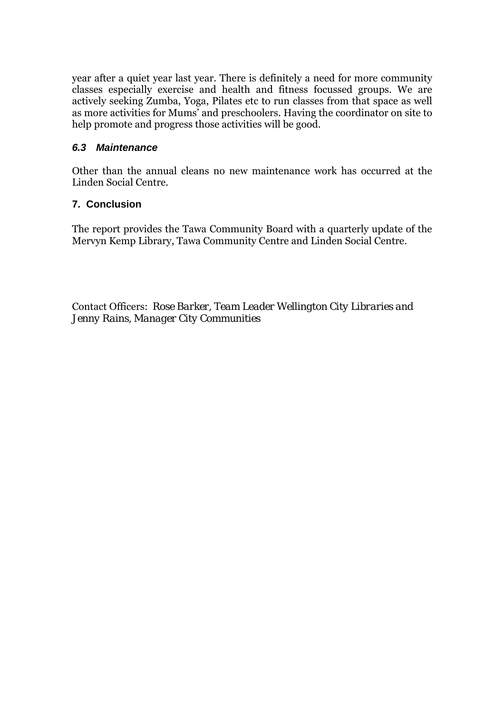year after a quiet year last year. There is definitely a need for more community classes especially exercise and health and fitness focussed groups. We are actively seeking Zumba, Yoga, Pilates etc to run classes from that space as well as more activities for Mums' and preschoolers. Having the coordinator on site to help promote and progress those activities will be good.

#### *6.3 Maintenance*

Other than the annual cleans no new maintenance work has occurred at the Linden Social Centre.

#### **7. Conclusion**

The report provides the Tawa Community Board with a quarterly update of the Mervyn Kemp Library, Tawa Community Centre and Linden Social Centre.

Contact Officers: *Rose Barker, Team Leader Wellington City Libraries and Jenny Rains, Manager City Communities*